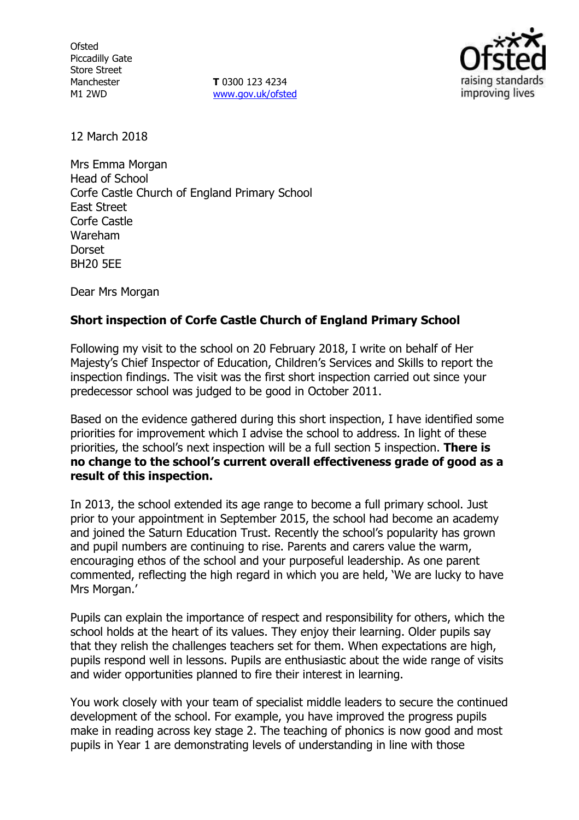**Ofsted** Piccadilly Gate Store Street Manchester M1 2WD

**T** 0300 123 4234 www.gov.uk/ofsted



12 March 2018

Mrs Emma Morgan Head of School Corfe Castle Church of England Primary School East Street Corfe Castle Wareham Dorset BH20 5EE

Dear Mrs Morgan

## **Short inspection of Corfe Castle Church of England Primary School**

Following my visit to the school on 20 February 2018, I write on behalf of Her Majesty's Chief Inspector of Education, Children's Services and Skills to report the inspection findings. The visit was the first short inspection carried out since your predecessor school was judged to be good in October 2011.

Based on the evidence gathered during this short inspection, I have identified some priorities for improvement which I advise the school to address. In light of these priorities, the school's next inspection will be a full section 5 inspection. **There is no change to the school's current overall effectiveness grade of good as a result of this inspection.**

In 2013, the school extended its age range to become a full primary school. Just prior to your appointment in September 2015, the school had become an academy and joined the Saturn Education Trust. Recently the school's popularity has grown and pupil numbers are continuing to rise. Parents and carers value the warm, encouraging ethos of the school and your purposeful leadership. As one parent commented, reflecting the high regard in which you are held, 'We are lucky to have Mrs Morgan.'

Pupils can explain the importance of respect and responsibility for others, which the school holds at the heart of its values. They enjoy their learning. Older pupils say that they relish the challenges teachers set for them. When expectations are high, pupils respond well in lessons. Pupils are enthusiastic about the wide range of visits and wider opportunities planned to fire their interest in learning.

You work closely with your team of specialist middle leaders to secure the continued development of the school. For example, you have improved the progress pupils make in reading across key stage 2. The teaching of phonics is now good and most pupils in Year 1 are demonstrating levels of understanding in line with those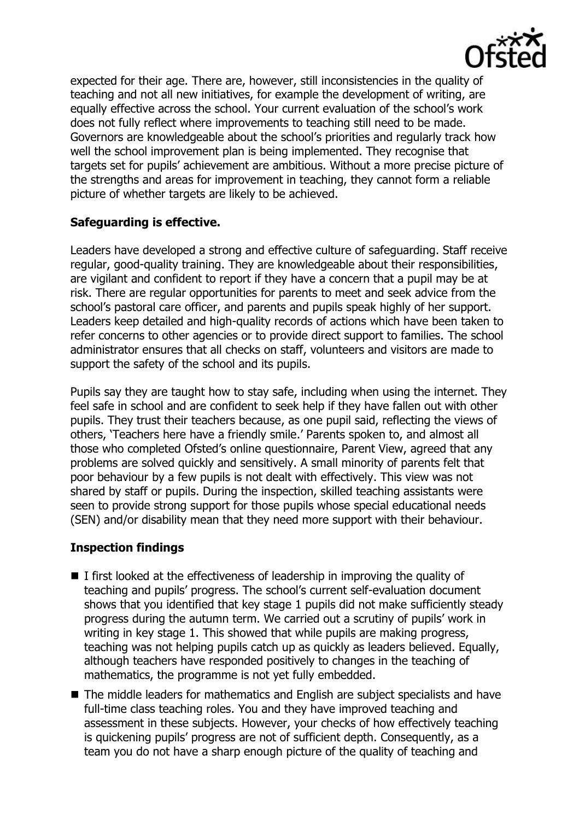

expected for their age. There are, however, still inconsistencies in the quality of teaching and not all new initiatives, for example the development of writing, are equally effective across the school. Your current evaluation of the school's work does not fully reflect where improvements to teaching still need to be made. Governors are knowledgeable about the school's priorities and regularly track how well the school improvement plan is being implemented. They recognise that targets set for pupils' achievement are ambitious. Without a more precise picture of the strengths and areas for improvement in teaching, they cannot form a reliable picture of whether targets are likely to be achieved.

# **Safeguarding is effective.**

Leaders have developed a strong and effective culture of safeguarding. Staff receive regular, good-quality training. They are knowledgeable about their responsibilities, are vigilant and confident to report if they have a concern that a pupil may be at risk. There are regular opportunities for parents to meet and seek advice from the school's pastoral care officer, and parents and pupils speak highly of her support. Leaders keep detailed and high-quality records of actions which have been taken to refer concerns to other agencies or to provide direct support to families. The school administrator ensures that all checks on staff, volunteers and visitors are made to support the safety of the school and its pupils.

Pupils say they are taught how to stay safe, including when using the internet. They feel safe in school and are confident to seek help if they have fallen out with other pupils. They trust their teachers because, as one pupil said, reflecting the views of others, 'Teachers here have a friendly smile.' Parents spoken to, and almost all those who completed Ofsted's online questionnaire, Parent View, agreed that any problems are solved quickly and sensitively. A small minority of parents felt that poor behaviour by a few pupils is not dealt with effectively. This view was not shared by staff or pupils. During the inspection, skilled teaching assistants were seen to provide strong support for those pupils whose special educational needs (SEN) and/or disability mean that they need more support with their behaviour.

## **Inspection findings**

- $\blacksquare$  I first looked at the effectiveness of leadership in improving the quality of teaching and pupils' progress. The school's current self-evaluation document shows that you identified that key stage 1 pupils did not make sufficiently steady progress during the autumn term. We carried out a scrutiny of pupils' work in writing in key stage 1. This showed that while pupils are making progress, teaching was not helping pupils catch up as quickly as leaders believed. Equally, although teachers have responded positively to changes in the teaching of mathematics, the programme is not yet fully embedded.
- The middle leaders for mathematics and English are subject specialists and have full-time class teaching roles. You and they have improved teaching and assessment in these subjects. However, your checks of how effectively teaching is quickening pupils' progress are not of sufficient depth. Consequently, as a team you do not have a sharp enough picture of the quality of teaching and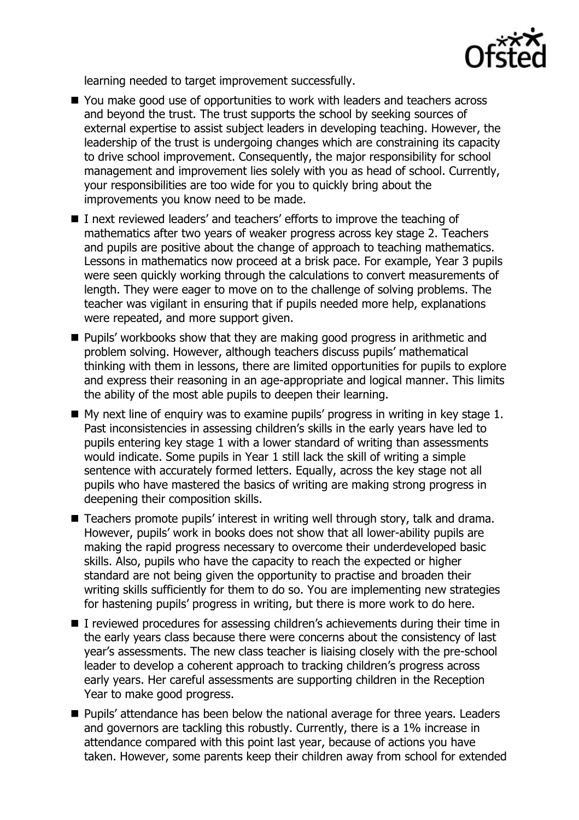

learning needed to target improvement successfully.

- You make good use of opportunities to work with leaders and teachers across and beyond the trust. The trust supports the school by seeking sources of external expertise to assist subject leaders in developing teaching. However, the leadership of the trust is undergoing changes which are constraining its capacity to drive school improvement. Consequently, the major responsibility for school management and improvement lies solely with you as head of school. Currently, your responsibilities are too wide for you to quickly bring about the improvements you know need to be made.
- I next reviewed leaders' and teachers' efforts to improve the teaching of mathematics after two years of weaker progress across key stage 2. Teachers and pupils are positive about the change of approach to teaching mathematics. Lessons in mathematics now proceed at a brisk pace. For example, Year 3 pupils were seen quickly working through the calculations to convert measurements of length. They were eager to move on to the challenge of solving problems. The teacher was vigilant in ensuring that if pupils needed more help, explanations were repeated, and more support given.
- **Pupils' workbooks show that they are making good progress in arithmetic and** problem solving. However, although teachers discuss pupils' mathematical thinking with them in lessons, there are limited opportunities for pupils to explore and express their reasoning in an age-appropriate and logical manner. This limits the ability of the most able pupils to deepen their learning.
- $\blacksquare$  My next line of enguiry was to examine pupils' progress in writing in key stage 1. Past inconsistencies in assessing children's skills in the early years have led to pupils entering key stage 1 with a lower standard of writing than assessments would indicate. Some pupils in Year 1 still lack the skill of writing a simple sentence with accurately formed letters. Equally, across the key stage not all pupils who have mastered the basics of writing are making strong progress in deepening their composition skills.
- Teachers promote pupils' interest in writing well through story, talk and drama. However, pupils' work in books does not show that all lower-ability pupils are making the rapid progress necessary to overcome their underdeveloped basic skills. Also, pupils who have the capacity to reach the expected or higher standard are not being given the opportunity to practise and broaden their writing skills sufficiently for them to do so. You are implementing new strategies for hastening pupils' progress in writing, but there is more work to do here.
- I reviewed procedures for assessing children's achievements during their time in the early years class because there were concerns about the consistency of last year's assessments. The new class teacher is liaising closely with the pre-school leader to develop a coherent approach to tracking children's progress across early years. Her careful assessments are supporting children in the Reception Year to make good progress.
- **Pupils' attendance has been below the national average for three years. Leaders** and governors are tackling this robustly. Currently, there is a 1% increase in attendance compared with this point last year, because of actions you have taken. However, some parents keep their children away from school for extended